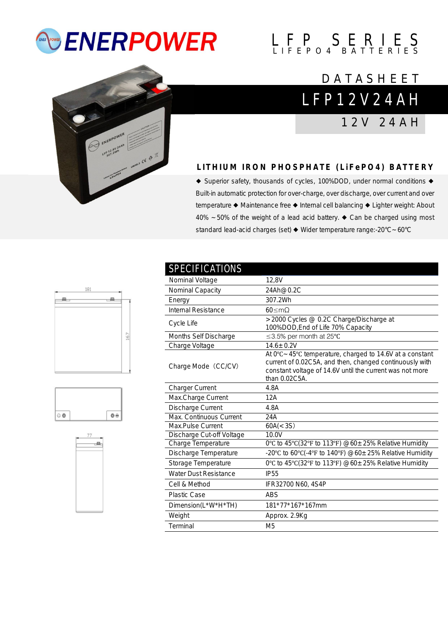# *<b>ENERPOWER*

# $L$   $F$   $P$   $S$   $E$   $R$   $I$   $E$   $S$

## L F P 1 2 V 2 4 A H **DATASHEET**

1 2 V 2 4 A H

## **L I T H I U M I R O N P H O S P H A T E ( L i F e P O 4 ) B A T T E R Y**

◆ Superior safety, thousands of cycles, 100%DOD, under normal conditions ◆ Built-in automatic protection for over-charge, over discharge, over current and over temperature ◆ Maintenance free ◆ Internal cell balancing ◆ Lighter weight: About 40% ~50% of the weight of a lead acid battery. ◆ Can be charged using most standard lead-acid charges (set) ◆ Wider temperature range:-20°C~60°C







| <b>SPECIFICATIONS</b>        |                                                                                                                                                                                                             |
|------------------------------|-------------------------------------------------------------------------------------------------------------------------------------------------------------------------------------------------------------|
| Nominal Voltage              | 12,8V                                                                                                                                                                                                       |
| Nominal Capacity             | 24Ah@0.2C                                                                                                                                                                                                   |
| Energy                       | 307.2Wh                                                                                                                                                                                                     |
| Internal Resistance          | $60 \leq mQ$                                                                                                                                                                                                |
| Cycle Life                   | >2000 Cycles @ 0.2C Charge/Discharge at<br>100%DOD, End of Life 70% Capacity                                                                                                                                |
| Months Self Discharge        | ≤3.5% per month at 25°C                                                                                                                                                                                     |
| Charge Voltage               | $14.6 \pm 0.2V$                                                                                                                                                                                             |
| Charge Mode (CC/CV)          | At $0^{\circ}$ C ~ 45°C temperature, charged to 14.6V at a constant<br>current of 0.02C5A, and then, changed continuously with<br>constant voltage of 14.6V until the current was not more<br>than 0.02C5A. |
| <b>Charger Current</b>       | 4.8A                                                                                                                                                                                                        |
| Max.Charge Current           | 12A                                                                                                                                                                                                         |
| Discharge Current            | 4.8A                                                                                                                                                                                                        |
| Max. Continuous Current      | 24A                                                                                                                                                                                                         |
| Max.Pulse Current            | 60A(< 3S)                                                                                                                                                                                                   |
| Discharge Cut-off Voltage    | 10.0V                                                                                                                                                                                                       |
| Charge Temperature           | 0°C to 45°C(32°F to 113°F) @60±25% Relative Humidity                                                                                                                                                        |
| Discharge Temperature        | -20°C to 60°C(-4°F to 140°F) @60±25% Relative Humidity                                                                                                                                                      |
| Storage Temperature          | 0°C to 45°C(32°F to 113°F) @60 $\pm$ 25% Relative Humidity                                                                                                                                                  |
| <b>Water Dust Resistance</b> | <b>IP55</b>                                                                                                                                                                                                 |
| Cell & Method                | IFR32700 N60, 4S4P                                                                                                                                                                                          |
| <b>Plastic Case</b>          | <b>ABS</b>                                                                                                                                                                                                  |
| Dimension(L*W*H*TH)          | 181*77*167*167mm                                                                                                                                                                                            |
| Weight                       | Approx. 2.9Kg                                                                                                                                                                                               |
| Terminal                     | M <sub>5</sub>                                                                                                                                                                                              |